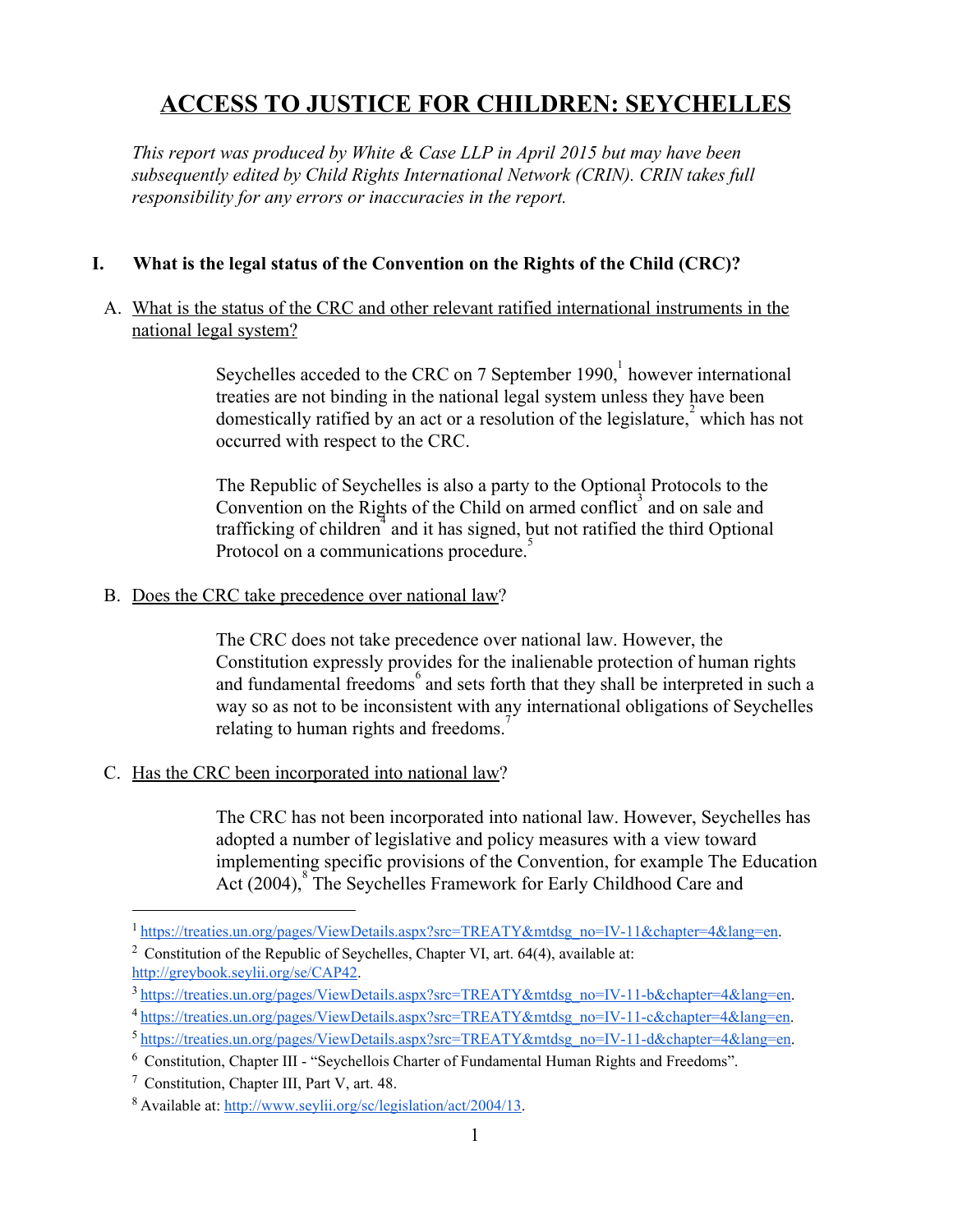# **ACCESS TO JUSTICE FOR CHILDREN: SEYCHELLES**

*This report was produced by White & Case LLP in April 2015 but may have been subsequently edited by Child Rights International Network (CRIN). CRIN takes full responsibility for any errors or inaccuracies in the report.*

## **I. What is the legal status of the Convention on the Rights of the Child (CRC)?**

### A. What is the status of the CRC and other relevant ratified international instruments in the national legal system?

Seychelles acceded to the CRC on 7 September 1990, $\frac{1}{1}$  however international treaties are not binding in the national legal system unless they have been domestically ratified by an act or a resolution of the legislature,  $2^2$  which has not occurred with respect to the CRC.

The Republic of Seychelles is also a party to the Optional Protocols to the Convention on the Rights of the Child on armed conflict<sup>3</sup> and on sale and trafficking of children  $\frac{4}{3}$  and it has signed, but not ratified the third Optional Protocol on a communications procedure.<sup>5</sup>

### B. Does the CRC take precedence over national law?

The CRC does not take precedence over national law. However, the Constitution expressly provides for the inalienable protection of human rights and fundamental freedoms  $6 \text{ and sets}$  forth that they shall be interpreted in such a way so as not to be inconsistent with any international obligations of Seychelles relating to human rights and freedoms.<sup>7</sup>

### C. Has the CRC been incorporated into national law?

The CRC has not been incorporated into national law. However, Seychelles has adopted a number of legislative and policy measures with a view toward implementing specific provisions of the Convention, for example The Education Act (2004),<sup>8</sup> The Seychelles Framework for Early Childhood Care and

<sup>&</sup>lt;sup>1</sup> https://treaties.un.org/pages/ViewDetails.aspx?src=TREATY&mtdsg\_no=IV-11&chapter=4&lang=en.

<sup>2</sup> Constitution of the Republic of Seychelles, Chapter VI, art. 64(4), available at: [http://greybook.seylii.org/se/CAP42.](http://greybook.seylii.org/se/CAP42)

<sup>&</sup>lt;sup>3</sup> https://treaties.un.org/pages/ViewDetails.aspx?src=TREATY&mtdsg\_no=IV-11-b&chapter=4&lang=en.

<sup>&</sup>lt;sup>4</sup> https://treaties.un.org/pages/ViewDetails.aspx?src=TREATY&mtdsg\_no=IV-11-c&chapter=4&lang=en.

<sup>5</sup> https://treaties.un.org/pages/ViewDetails.aspx?src=TREATY&mtdsg\_no=IV-11-d&chapter=4&lang=en.

<sup>&</sup>lt;sup>6</sup> Constitution, Chapter III - "Seychellois Charter of Fundamental Human Rights and Freedoms".

<sup>7</sup> Constitution, Chapter III, Part V, art. 48.

<sup>8</sup> Available at: <http://www.seylii.org/sc/legislation/act/2004/13>.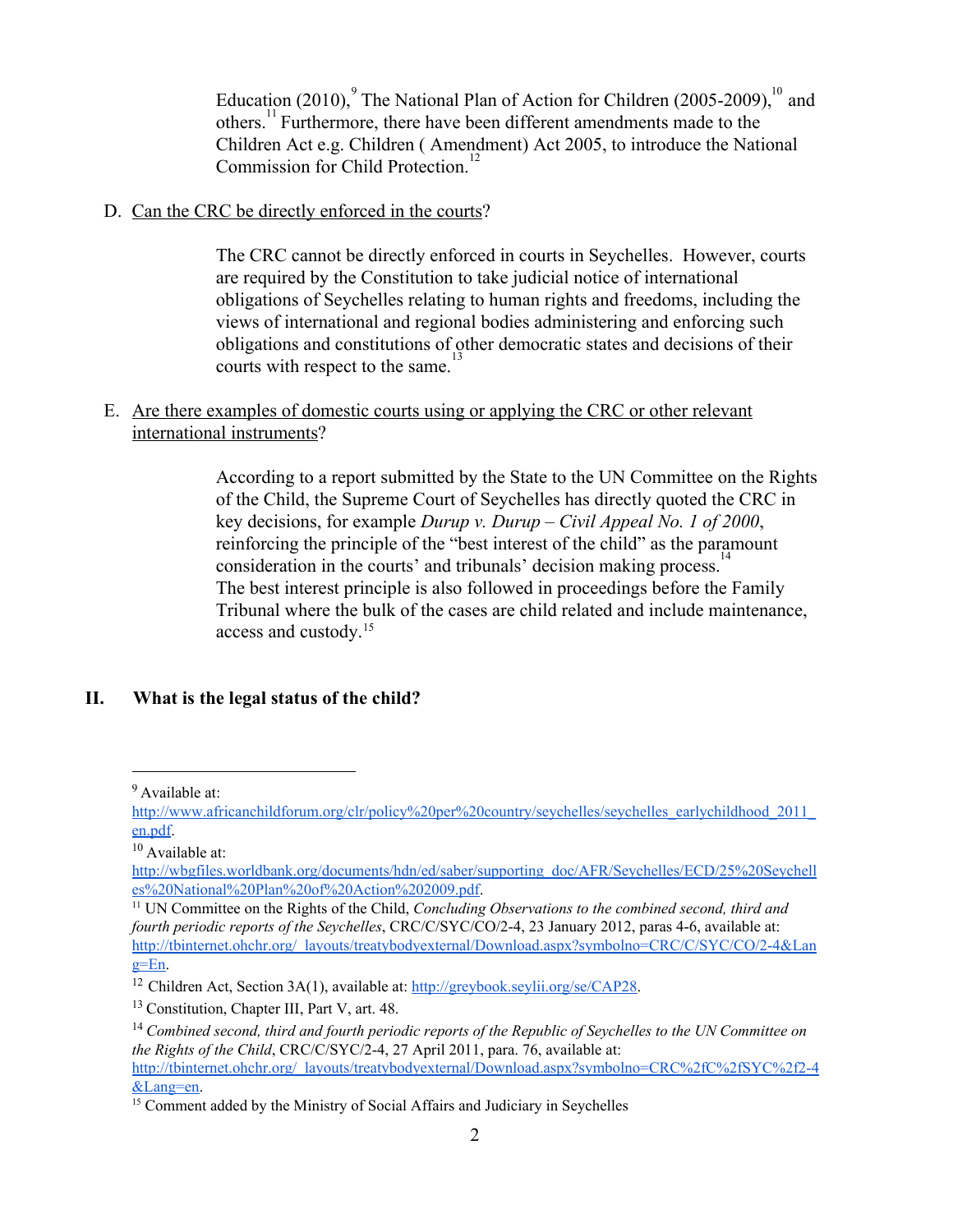Education (2010), <sup>9</sup> The National Plan of Action for Children (2005-2009), <sup>10</sup> and others.<sup>11</sup> Furthermore, there have been different amendments made to the Children Act e.g. Children ( Amendment) Act 2005, to introduce the National Commission for Child Protection. 12

D. Can the CRC be directly enforced in the courts?

The CRC cannot be directly enforced in courts in Seychelles. However, courts are required by the Constitution to take judicial notice of international obligations of Seychelles relating to human rights and freedoms, including the views of international and regional bodies administering and enforcing such obligations and constitutions of other democratic states and decisions of their courts with respect to the same. $^{13}$ 

E. Are there examples of domestic courts using or applying the CRC or other relevant international instruments?

> According to a report submitted by the State to the UN Committee on the Rights of the Child, the Supreme Court of Seychelles has directly quoted the CRC in key decisions, for example *Durup v. Durup – Civil Appeal No. 1 of 2000*, reinforcing the principle of the "best interest of the child" as the paramount consideration in the courts' and tribunals' decision making process.<sup>14</sup> The best interest principle is also followed in proceedings before the Family Tribunal where the bulk of the cases are child related and include maintenance, access and custody. 15

### **II. What is the legal status of the child?**

<sup>9</sup> Available at:

[http://www.africanchildforum.org/clr/policy%20per%20country/seychelles/seychelles\\_earlychildhood\\_2011\\_](http://www.africanchildforum.org/clr/policy%20per%20country/seychelles/seychelles_earlychildhood_2011_en.pdf) [en.pdf](http://www.africanchildforum.org/clr/policy%20per%20country/seychelles/seychelles_earlychildhood_2011_en.pdf).

 $10$  Available at:

[http://wbgfiles.worldbank.org/documents/hdn/ed/saber/supporting\\_doc/AFR/Seychelles/ECD/25%20Seychell](http://wbgfiles.worldbank.org/documents/hdn/ed/saber/supporting_doc/AFR/Seychelles/ECD/25%20Seychelles%20National%20Plan%20of%20Action%202009.pdf) [es%20National%20Plan%20of%20Action%202009.pdf](http://wbgfiles.worldbank.org/documents/hdn/ed/saber/supporting_doc/AFR/Seychelles/ECD/25%20Seychelles%20National%20Plan%20of%20Action%202009.pdf).

<sup>11</sup> UN Committee on the Rights of the Child, *Concluding Observations to the combined second, third and fourth periodic reports of the Seychelles*, CRC/C/SYC/CO/2-4, 23 January 2012, paras 4-6, available at: http://tbinternet.ohchr.org/\_layouts/treatybodyexternal/Download.aspx?symbolno=CRC/C/SYC/CO/2-4&Lan [g=En.](http://tbinternet.ohchr.org/_layouts/treatybodyexternal/Download.aspx?symbolno=CRC/C/SYC/CO/2-4&Lang=En)

<sup>12</sup> Children Act, Section 3A(1), available at: [http://greybook.seylii.org/se/CAP28.](http://greybook.seylii.org/se/CAP28)

<sup>13</sup> Constitution, Chapter III, Part V, art. 48.

 $14$  Combined second, third and fourth periodic reports of the Republic of Seychelles to the UN Committee on *the Rights of the Child*, CRC/C/SYC/24, 27 April 2011, para. 76, available at: http://tbinternet.ohchr.org/\_layouts/treatybodyexternal/Download.aspx?symbolno=CRC%2fC%2fSYC%2f2-4

[<sup>&</sup>amp;Lang=en](http://tbinternet.ohchr.org/_layouts/treatybodyexternal/Download.aspx?symbolno=CRC%2FC%2FSYC%2F2-4&Lang=en).

<sup>&</sup>lt;sup>15</sup> Comment added by the Ministry of Social Affairs and Judiciary in Seychelles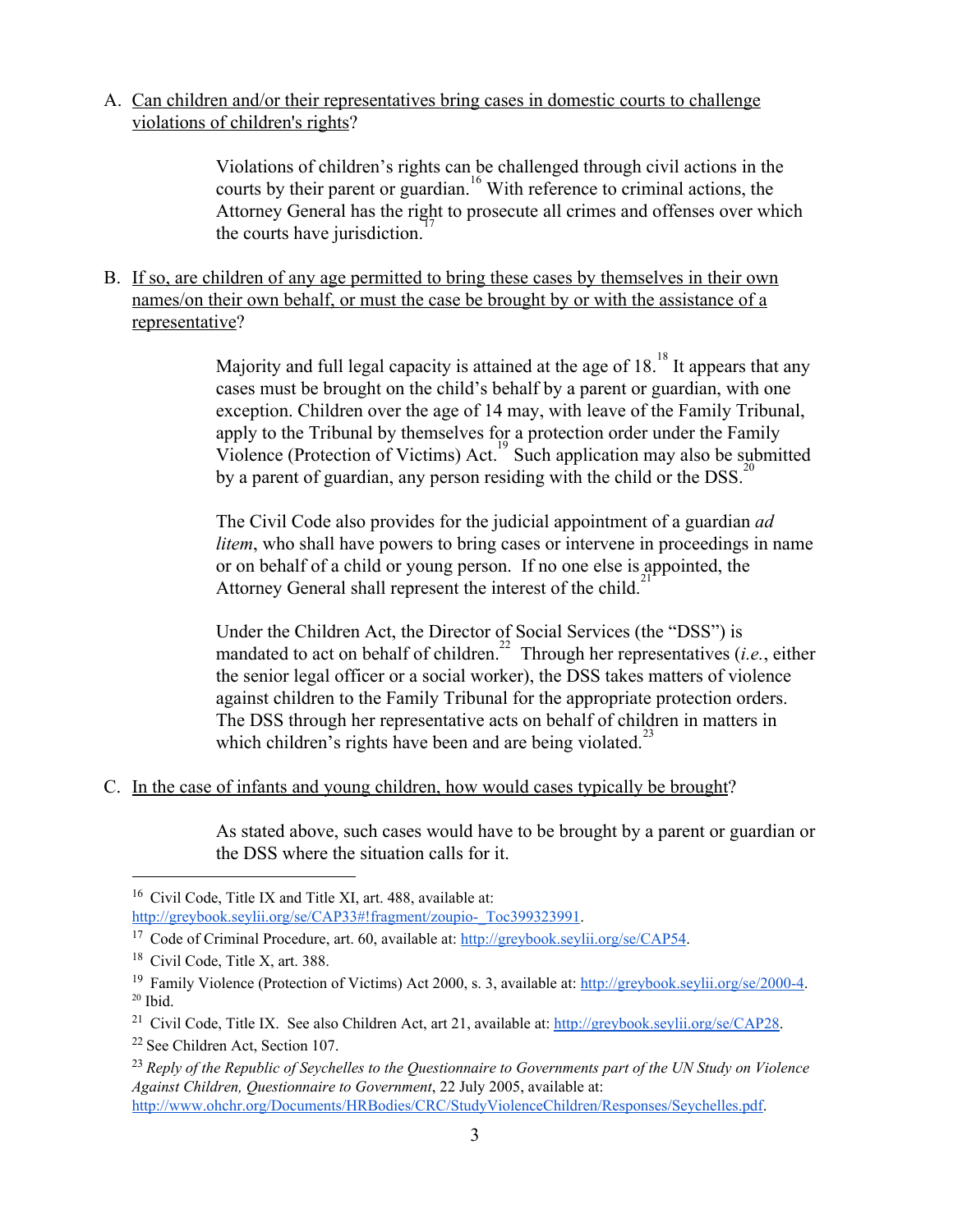A. Can children and/or their representatives bring cases in domestic courts to challenge violations of children's rights?

> Violations of children's rights can be challenged through civil actions in the courts by their parent or guardian.<sup>16</sup> With reference to criminal actions, the Attorney General has the right to prosecute all crimes and offenses over which the courts have jurisdiction.<sup> $17$ </sup>

B. If so, are children of any age permitted to bring these cases by themselves in their own names/on their own behalf, or must the case be brought by or with the assistance of a representative?

> Majority and full legal capacity is attained at the age of  $18<sup>18</sup>$ . It appears that any cases must be brought on the child's behalf by a parent or guardian, with one exception. Children over the age of 14 may, with leave of the Family Tribunal, apply to the Tribunal by themselves for a protection order under the Family Violence (Protection of Victims) Act.<sup>19</sup> Such application may also be submitted by a parent of guardian, any person residing with the child or the DSS.<sup>20</sup>

> The Civil Code also provides for the judicial appointment of a guardian *ad litem*, who shall have powers to bring cases or intervene in proceedings in name or on behalf of a child or young person. If no one else is appointed, the Attorney General shall represent the interest of the child.<sup>21</sup>

> Under the Children Act, the Director of Social Services (the "DSS") is mandated to act on behalf of children.<sup>22</sup> Through her representatives (*i.e.*, either the senior legal officer or a social worker), the DSS takes matters of violence against children to the Family Tribunal for the appropriate protection orders. The DSS through her representative acts on behalf of children in matters in which children's rights have been and are being violated. $^{23}$

C. In the case of infants and young children, how would cases typically be brought?

As stated above, such cases would have to be brought by a parent or guardian or the DSS where the situation calls for it.

<sup>22</sup> See Children Act, Section 107.

<sup>16</sup> Civil Code, Title IX and Title XI, art. 488, available at: http://greybook.seylii.org/se/CAP33#!fragment/zoupio-Toc399323991.

<sup>17</sup> Code of Criminal Procedure, art. 60, available at: [http://greybook.seylii.org/se/CAP54.](http://greybook.seylii.org/se/CAP54)

<sup>18</sup> Civil Code, Title X, art. 388.

<sup>&</sup>lt;sup>19</sup> Family Violence (Protection of Victims) Act 2000, s. 3, available at: http://greybook.seylii.org/se/2000-4. 20 Ibid.

<sup>&</sup>lt;sup>21</sup> Civil Code, Title IX. See also Children Act, art 21, available at: [http://greybook.seylii.org/se/CAP28.](http://greybook.seylii.org/se/CAP28)

<sup>&</sup>lt;sup>23</sup> Reply of the Republic of Seychelles to the Questionnaire to Governments part of the UN Study on Violence *Against Children, Questionnaire to Government*, 22 July 2005, available at: [http://www.ohchr.org/Documents/HRBodies/CRC/StudyViolenceChildren/Responses/Seychelles.pdf.](http://www.ohchr.org/Documents/HRBodies/CRC/StudyViolenceChildren/Responses/Seychelles.pdf)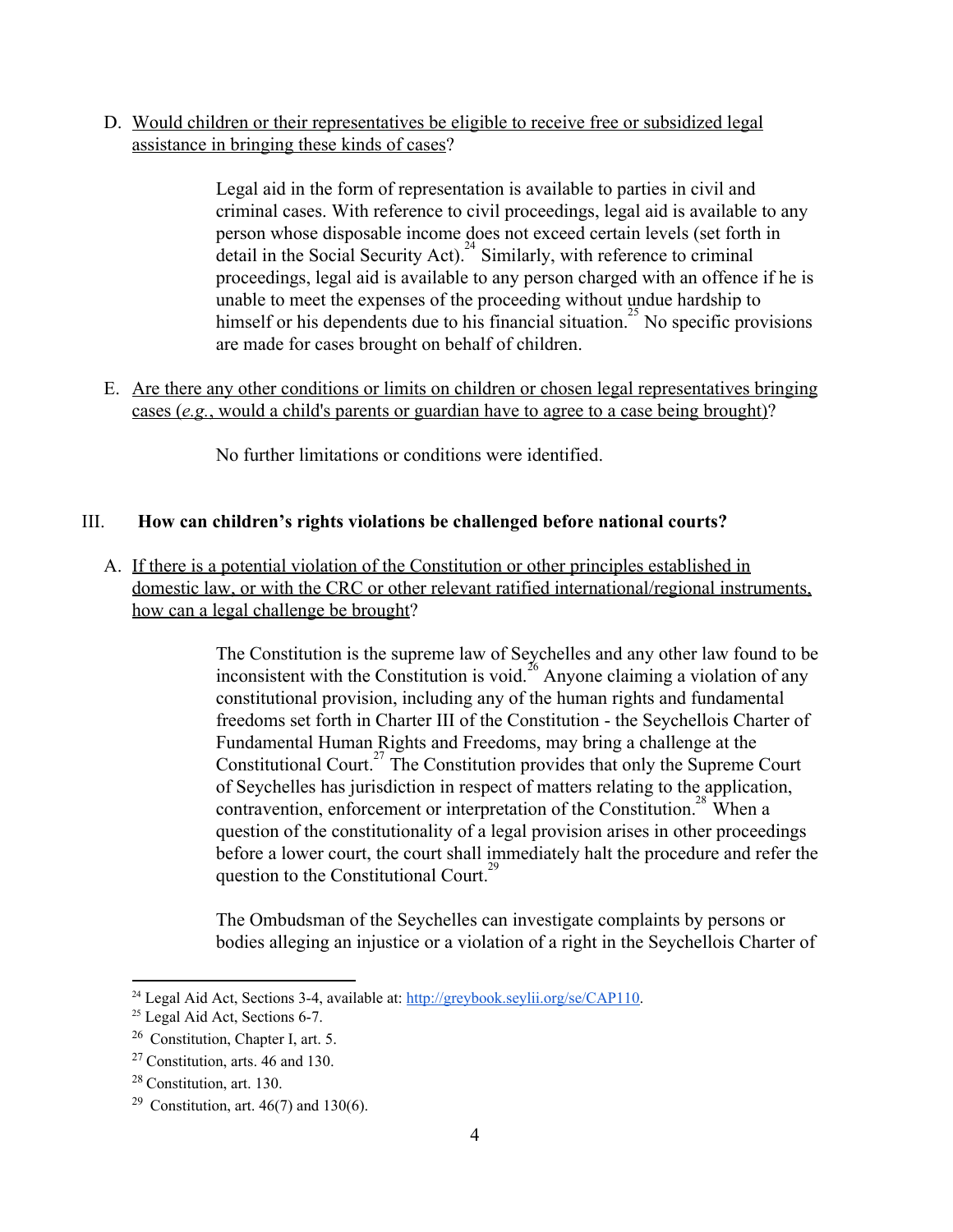#### D. Would children or their representatives be eligible to receive free or subsidized legal assistance in bringing these kinds of cases?

Legal aid in the form of representation is available to parties in civil and criminal cases. With reference to civil proceedings, legal aid is available to any person whose disposable income does not exceed certain levels (set forth in detail in the Social Security Act).<sup>24</sup> Similarly, with reference to criminal proceedings, legal aid is available to any person charged with an offence if he is unable to meet the expenses of the proceeding without undue hardship to himself or his dependents due to his financial situation.<sup>25</sup> No specific provisions are made for cases brought on behalf of children.

E. Are there any other conditions or limits on children or chosen legal representatives bringing cases (*e.g.*, would a child's parents or guardian have to agree to a case being brought)?

No further limitations or conditions were identified.

### III. **How can children's rights violations be challenged before national courts?**

A. If there is a potential violation of the Constitution or other principles established in domestic law, or with the CRC or other relevant ratified international/regional instruments, how can a legal challenge be brought?

> The Constitution is the supreme law of Seychelles and any other law found to be inconsistent with the Constitution is void.<sup>26</sup> Anyone claiming a violation of any constitutional provision, including any of the human rights and fundamental freedoms set forth in Charter III of the Constitution the Seychellois Charter of Fundamental Human Rights and Freedoms, may bring a challenge at the Constitutional Court.<sup>27</sup> The Constitution provides that only the Supreme Court of Seychelles has jurisdiction in respect of matters relating to the application, contravention, enforcement or interpretation of the Constitution.<sup>28</sup> When a question of the constitutionality of a legal provision arises in other proceedings before a lower court, the court shall immediately halt the procedure and refer the question to the Constitutional Court.<sup>29</sup>

> The Ombudsman of the Seychelles can investigate complaints by persons or bodies alleging an injustice or a violation of a right in the Seychellois Charter of

<sup>&</sup>lt;sup>24</sup> Legal Aid Act, Sections 3-4, available at: [http://greybook.seylii.org/se/CAP110.](http://greybook.seylii.org/se/CAP110)

<sup>&</sup>lt;sup>25</sup> Legal Aid Act, Sections 6-7.

<sup>26</sup> Constitution, Chapter I, art. 5.

<sup>27</sup> Constitution, arts. 46 and 130.

<sup>28</sup> Constitution, art. 130.

<sup>&</sup>lt;sup>29</sup> Constitution, art.  $46(7)$  and  $130(6)$ .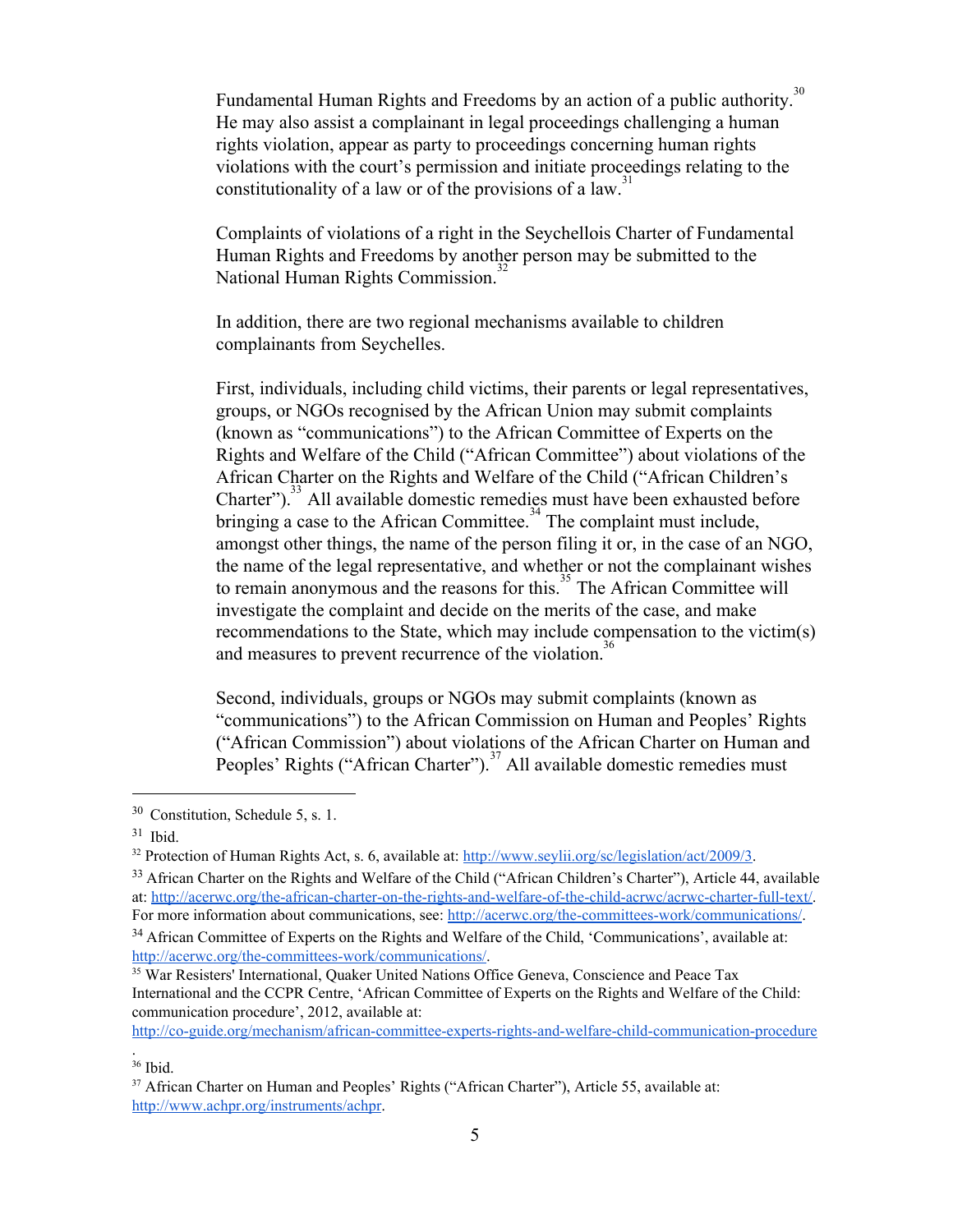Fundamental Human Rights and Freedoms by an action of a public authority.<sup>30</sup> He may also assist a complainant in legal proceedings challenging a human rights violation, appear as party to proceedings concerning human rights violations with the court's permission and initiate proceedings relating to the constitutionality of a law or of the provisions of a law.<sup>31</sup>

Complaints of violations of a right in the Seychellois Charter of Fundamental Human Rights and Freedoms by another person may be submitted to the National Human Rights Commission. 32

In addition, there are two regional mechanisms available to children complainants from Seychelles.

First, individuals, including child victims, their parents or legal representatives, groups, or NGOs recognised by the African Union may submit complaints (known as "communications") to the African Committee of Experts on the Rights and Welfare of the Child ("African Committee") about violations of the African Charter on the Rights and Welfare of the Child ("African Children's Charter").<sup>33</sup> All available domestic remedies must have been exhausted before bringing a case to the African Committee.<sup>34</sup> The complaint must include, amongst other things, the name of the person filing it or, in the case of an NGO, the name of the legal representative, and whether or not the complainant wishes to remain anonymous and the reasons for this.<sup>35</sup> The African Committee will investigate the complaint and decide on the merits of the case, and make recommendations to the State, which may include compensation to the victim(s) and measures to prevent recurrence of the violation.<sup>36</sup>

Second, individuals, groups or NGOs may submit complaints (known as "communications") to the African Commission on Human and Peoples' Rights ("African Commission") about violations of the African Charter on Human and Peoples' Rights ("African Charter").<sup>37</sup> All available domestic remedies must

<sup>33</sup> African Charter on the Rights and Welfare of the Child ("African Children's Charter"), Article 44, available at: http://acerwc.org/the-african-charter-on-the-rights-and-welfare-of-the-child-acrwc/acrwc-charter-full-text/. For more information about communications, see: http://acerwc.org/the-committees-work/communications/.

http://co-guide.org/mechanism/african-committee-experts-rights-and-welfare-child-communication-procedure

<sup>30</sup> Constitution, Schedule 5, s. 1.

<sup>31</sup> Ibid.

<sup>&</sup>lt;sup>32</sup> Protection of Human Rights Act, s. 6, available at: [http://www.seylii.org/sc/legislation/act/2009/3.](http://www.seylii.org/sc/legislation/act/2009/3)

<sup>&</sup>lt;sup>34</sup> African Committee of Experts on the Rights and Welfare of the Child, 'Communications', available at: http://acerwc.org/the-committees-work/communications/.

<sup>35</sup> War Resisters' International, Quaker United Nations Office Geneva, Conscience and Peace Tax International and the CCPR Centre, 'African Committee of Experts on the Rights and Welfare of the Child: communication procedure', 2012, available at:

<sup>.&</sup>lt;br><sup>36</sup> Ibid.

<sup>&</sup>lt;sup>37</sup> African Charter on Human and Peoples' Rights ("African Charter"), Article 55, available at: <http://www.achpr.org/instruments/achpr>.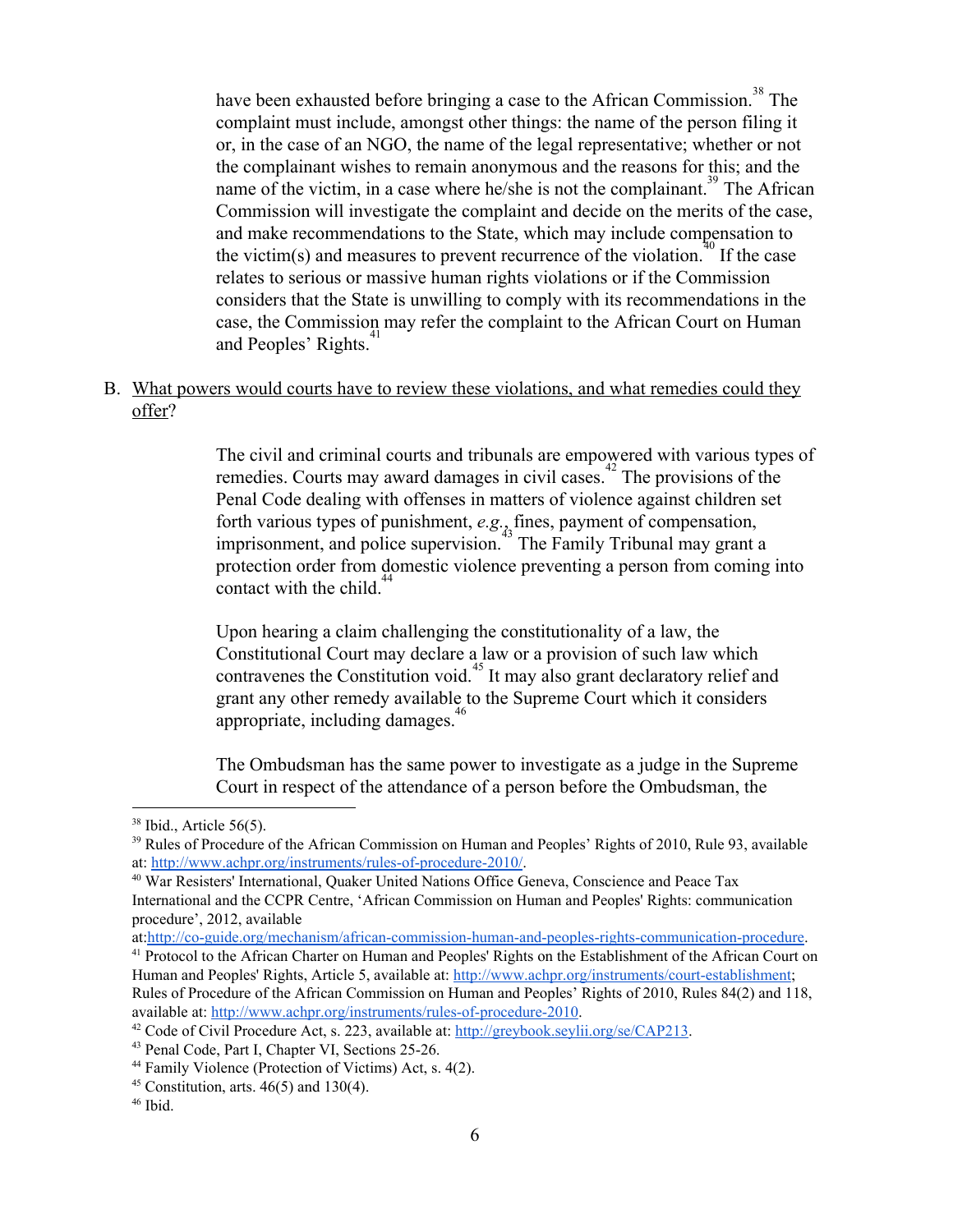have been exhausted before bringing a case to the African Commission.<sup>38</sup> The complaint must include, amongst other things: the name of the person filing it or, in the case of an NGO, the name of the legal representative; whether or not the complainant wishes to remain anonymous and the reasons for this; and the name of the victim, in a case where he/she is not the complainant.<sup>39</sup> The African Commission will investigate the complaint and decide on the merits of the case, and make recommendations to the State, which may include compensation to the victim(s) and measures to prevent recurrence of the violation.<sup>40</sup> If the case relates to serious or massive human rights violations or if the Commission considers that the State is unwilling to comply with its recommendations in the case, the Commission may refer the complaint to the African Court on Human and Peoples' Rights.<sup>41</sup>

### B. What powers would courts have to review these violations, and what remedies could they offer?

The civil and criminal courts and tribunals are empowered with various types of remedies. Courts may award damages in civil cases.<sup>42</sup> The provisions of the Penal Code dealing with offenses in matters of violence against children set forth various types of punishment, *e.g.*, fines, payment of compensation, imprisonment, and police supervision.<sup>43</sup> The Family Tribunal may grant a protection order from domestic violence preventing a person from coming into contact with the child.<sup>44</sup>

Upon hearing a claim challenging the constitutionality of a law, the Constitutional Court may declare a law or a provision of such law which contravenes the Constitution void.<sup>45</sup> It may also grant declaratory relief and grant any other remedy available to the Supreme Court which it considers appropriate, including damages. 46

The Ombudsman has the same power to investigate as a judge in the Supreme Court in respect of the attendance of a person before the Ombudsman, the

<sup>38</sup> Ibid., Article 56(5).

<sup>&</sup>lt;sup>39</sup> Rules of Procedure of the African Commission on Human and Peoples' Rights of 2010, Rule 93, available at: http://www.achpr.org/instruments/rules-of-procedure-2010/.

<sup>40</sup> War Resisters' International, Quaker United Nations Office Geneva, Conscience and Peace Tax International and the CCPR Centre, 'African Commission on Human and Peoples' Rights: communication procedure', 2012, available

at:http://co-guide.org/mechanism/african-commission-human-and-peoples-rights-communication-procedure.

<sup>&</sup>lt;sup>41</sup> Protocol to the African Charter on Human and Peoples' Rights on the Establishment of the African Court on Human and Peoples' Rights, Article 5, available at: http://www.achpr.org/instruments/court-establishment; Rules of Procedure of the African Commission on Human and Peoples' Rights of 2010, Rules 84(2) and 118, available at: http://www.achpr.org/instruments/rules-of-procedure-2010.

<sup>42</sup> Code of Civil Procedure Act, s. 223, available at: [http://greybook.seylii.org/se/CAP213.](http://greybook.seylii.org/se/CAP213)

<sup>&</sup>lt;sup>43</sup> Penal Code, Part I, Chapter VI, Sections 25-26.

<sup>44</sup> Family Violence (Protection of Victims) Act, s. 4(2).

 $45$  Constitution, arts.  $46(5)$  and  $130(4)$ .

<sup>46</sup> Ibid.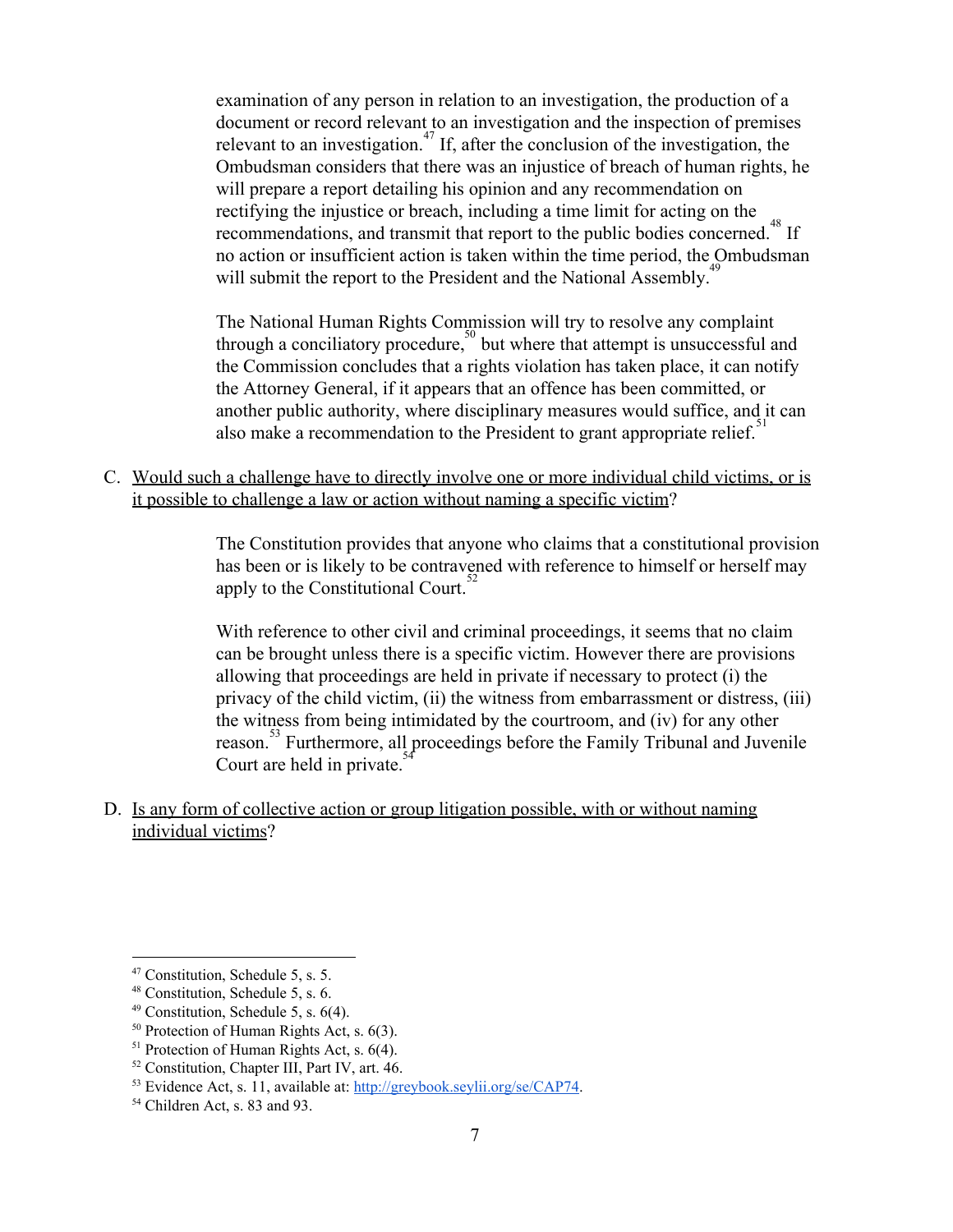examination of any person in relation to an investigation, the production of a document or record relevant to an investigation and the inspection of premises relevant to an investigation.<sup>47</sup> If, after the conclusion of the investigation, the Ombudsman considers that there was an injustice of breach of human rights, he will prepare a report detailing his opinion and any recommendation on rectifying the injustice or breach, including a time limit for acting on the recommendations, and transmit that report to the public bodies concerned.<sup>48</sup> If no action or insufficient action is taken within the time period, the Ombudsman will submit the report to the President and the National Assembly.<sup>49</sup>

The National Human Rights Commission will try to resolve any complaint through a conciliatory procedure,  $50$  but where that attempt is unsuccessful and the Commission concludes that a rights violation has taken place, it can notify the Attorney General, if it appears that an offence has been committed, or another public authority, where disciplinary measures would suffice, and it can also make a recommendation to the President to grant appropriate relief.<sup>51</sup>

C. Would such a challenge have to directly involve one or more individual child victims, or is it possible to challenge a law or action without naming a specific victim?

> The Constitution provides that anyone who claims that a constitutional provision has been or is likely to be contravened with reference to himself or herself may apply to the Constitutional Court.<sup>52</sup>

With reference to other civil and criminal proceedings, it seems that no claim can be brought unless there is a specific victim. However there are provisions allowing that proceedings are held in private if necessary to protect (i) the privacy of the child victim, (ii) the witness from embarrassment or distress, (iii) the witness from being intimidated by the courtroom, and (iv) for any other reason.<sup>53</sup> Furthermore, all proceedings before the Family Tribunal and Juvenile Court are held in private.<sup>54</sup>

D. Is any form of collective action or group litigation possible, with or without naming individual victims?

<sup>47</sup> Constitution, Schedule 5, s. 5.

<sup>48</sup> Constitution, Schedule 5, s. 6.

 $49$  Constitution, Schedule 5, s.  $6(4)$ .

 $50$  Protection of Human Rights Act, s. 6(3).

 $51$  Protection of Human Rights Act, s. 6(4).

<sup>52</sup> Constitution, Chapter III, Part IV, art. 46.

<sup>53</sup> Evidence Act, s. 11, available at: [http://greybook.seylii.org/se/CAP74.](http://greybook.seylii.org/se/CAP74)

<sup>54</sup> Children Act, s. 83 and 93.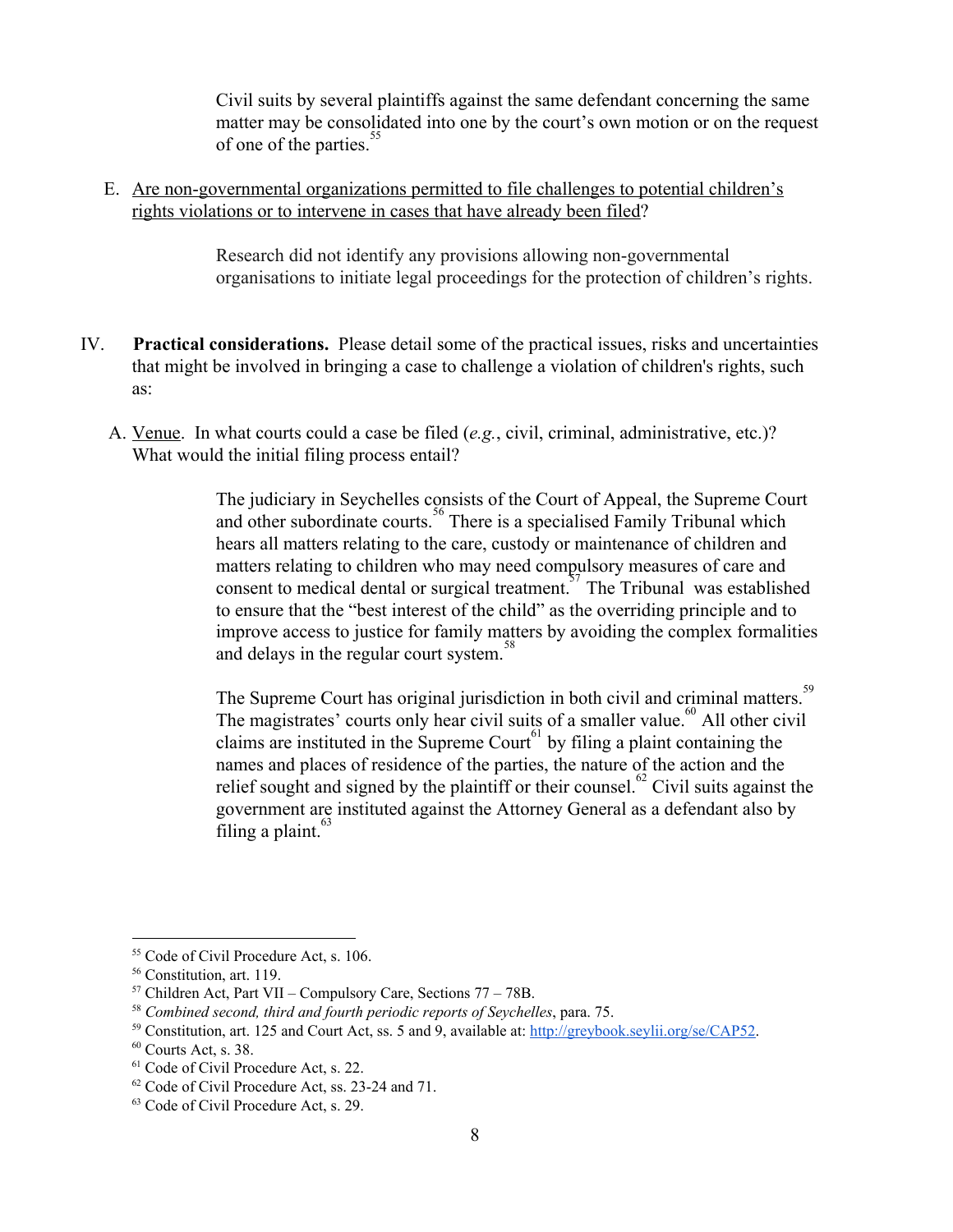Civil suits by several plaintiffs against the same defendant concerning the same matter may be consolidated into one by the court's own motion or on the request of one of the parties.<sup>55</sup>

E. Are non-governmental organizations permitted to file challenges to potential children's rights violations or to intervene in cases that have already been filed?

> Research did not identify any provisions allowing non-governmental organisations to initiate legal proceedings for the protection of children's rights.

- IV. **Practical considerations.** Please detail some of the practical issues, risks and uncertainties that might be involved in bringing a case to challenge a violation of children's rights, such as:
	- A. Venue. In what courts could a case be filed (*e.g.*, civil, criminal, administrative, etc.)? What would the initial filing process entail?

The judiciary in Seychelles consists of the Court of Appeal, the Supreme Court and other subordinate courts.<sup>56</sup> There is a specialised Family Tribunal which hears all matters relating to the care, custody or maintenance of children and matters relating to children who may need compulsory measures of care and consent to medical dental or surgical treatment.<sup>57</sup> The Tribunal was established to ensure that the "best interest of the child" as the overriding principle and to improve access to justice for family matters by avoiding the complex formalities and delays in the regular court system.<sup>58</sup>

The Supreme Court has original jurisdiction in both civil and criminal matters.<sup>59</sup> The magistrates' courts only hear civil suits of a smaller value.<sup>60</sup> All other civil claims are instituted in the Supreme Court<sup>61</sup> by filing a plaint containing the names and places of residence of the parties, the nature of the action and the relief sought and signed by the plaintiff or their counsel.<sup>62</sup> Civil suits against the government are instituted against the Attorney General as a defendant also by filing a plaint. 63

<sup>55</sup> Code of Civil Procedure Act, s. 106.

<sup>56</sup> Constitution, art. 119.

 $57$  Children Act, Part VII – Compulsory Care, Sections  $77 - 78B$ .

<sup>58</sup> *Combined second, third and fourth periodic reports of Seychelles*, para. 75.

<sup>59</sup> Constitution, art. 125 and Court Act, ss. 5 and 9, available at: [http://greybook.seylii.org/se/CAP52.](http://greybook.seylii.org/se/CAP52)

 $60$  Courts Act, s. 38.

<sup>61</sup> Code of Civil Procedure Act, s. 22.

 $62$  Code of Civil Procedure Act, ss. 23-24 and 71.

<sup>63</sup> Code of Civil Procedure Act, s. 29.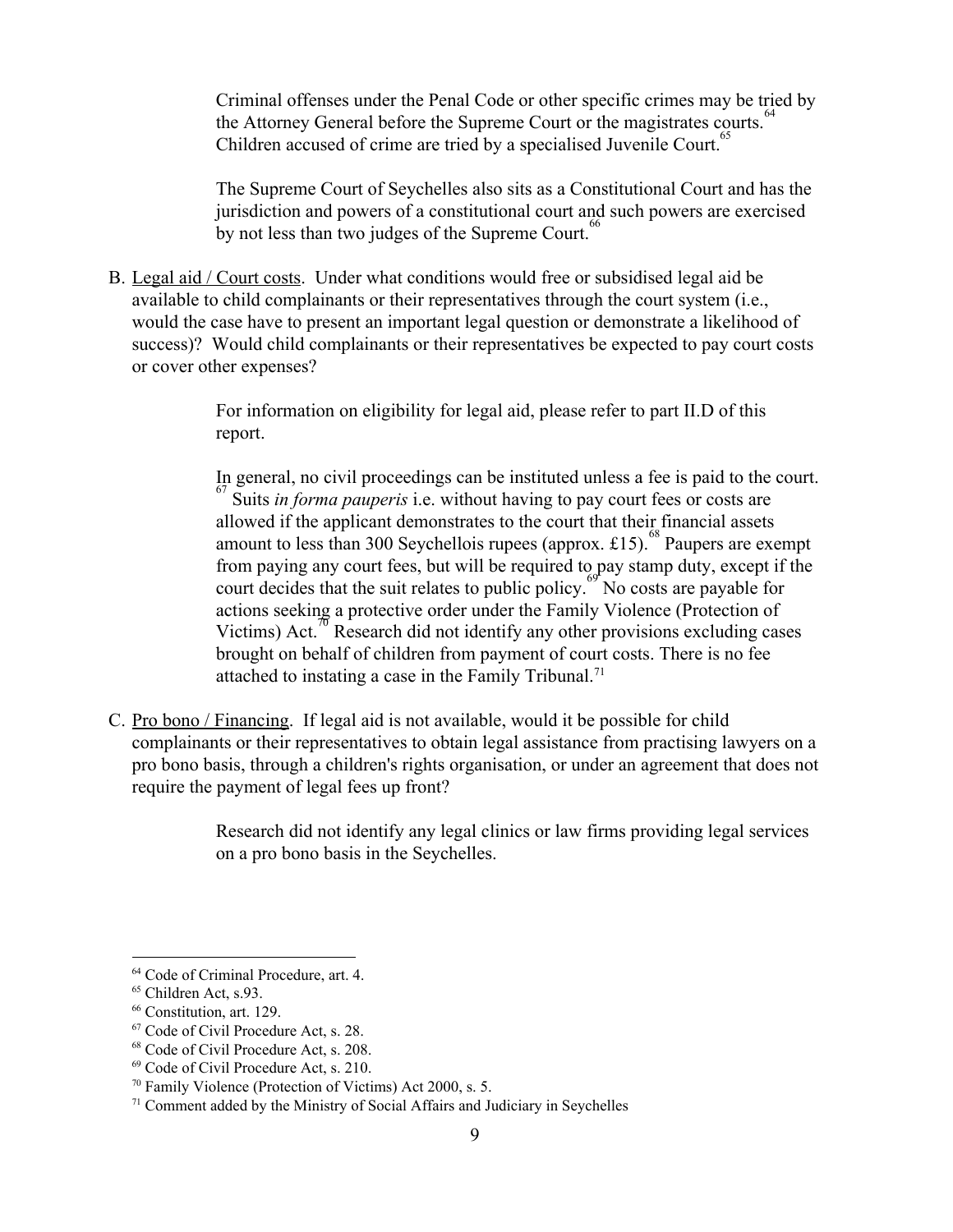Criminal offenses under the Penal Code or other specific crimes may be tried by the Attorney General before the Supreme Court or the magistrates courts.<sup>64</sup> Children accused of crime are tried by a specialised Juvenile Court.<sup>65</sup>

The Supreme Court of Seychelles also sits as a Constitutional Court and has the jurisdiction and powers of a constitutional court and such powers are exercised by not less than two judges of the Supreme Court.<sup>66</sup>

B. Legal aid / Court costs. Under what conditions would free or subsidised legal aid be available to child complainants or their representatives through the court system (i.e., would the case have to present an important legal question or demonstrate a likelihood of success)? Would child complainants or their representatives be expected to pay court costs or cover other expenses?

> For information on eligibility for legal aid, please refer to part II.D of this report.

In general, no civil proceedings can be instituted unless a fee is paid to the court. Suits *in forma pauperis* i.e. without having to pay court fees or costs are 67 allowed if the applicant demonstrates to the court that their financial assets amount to less than 300 Seychellois rupees (approx. £15). <sup>68</sup> Paupers are exempt from paying any court fees, but will be required to pay stamp duty, except if the court decides that the suit relates to public policy.<sup>69</sup> No costs are payable for actions seeking a protective order under the Family Violence (Protection of Victims) Act.<sup> $\pi$ </sup> Research did not identify any other provisions excluding cases brought on behalf of children from payment of court costs. There is no fee attached to instating a case in the Family Tribunal.<sup>71</sup>

C. Pro bono / Financing. If legal aid is not available, would it be possible for child complainants or their representatives to obtain legal assistance from practising lawyers on a pro bono basis, through a children's rights organisation, or under an agreement that does not require the payment of legal fees up front?

> Research did not identify any legal clinics or law firms providing legal services on a pro bono basis in the Seychelles.

<sup>64</sup> Code of Criminal Procedure, art. 4.

<sup>&</sup>lt;sup>65</sup> Children Act, s.93.

<sup>66</sup> Constitution, art. 129.

<sup>67</sup> Code of Civil Procedure Act, s. 28.

<sup>68</sup> Code of Civil Procedure Act, s. 208.

<sup>69</sup> Code of Civil Procedure Act, s. 210.

<sup>70</sup> Family Violence (Protection of Victims) Act 2000, s. 5.

<sup>71</sup> Comment added by the Ministry of Social Affairs and Judiciary in Seychelles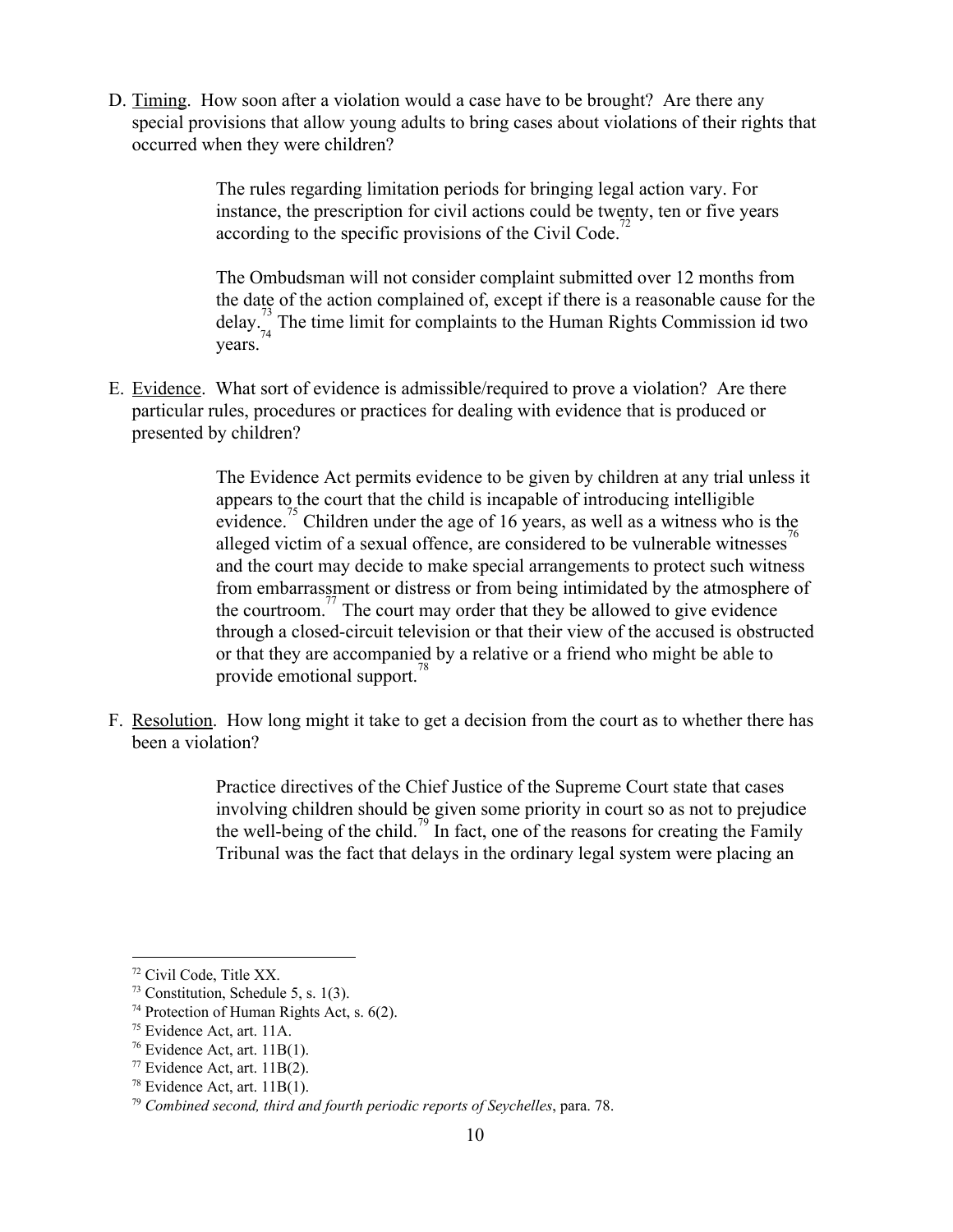D. Timing. How soon after a violation would a case have to be brought? Are there any special provisions that allow young adults to bring cases about violations of their rights that occurred when they were children?

> The rules regarding limitation periods for bringing legal action vary. For instance, the prescription for civil actions could be twenty, ten or five years according to the specific provisions of the Civil Code.<sup>72</sup>

The Ombudsman will not consider complaint submitted over 12 months from the date of the action complained of, except if there is a reasonable cause for the delay.<sup>73</sup> The time limit for complaints to the Human Rights Commission id two years. 74

E. Evidence. What sort of evidence is admissible/required to prove a violation? Are there particular rules, procedures or practices for dealing with evidence that is produced or presented by children?

> The Evidence Act permits evidence to be given by children at any trial unless it appears to the court that the child is incapable of introducing intelligible evidence.<sup>75</sup> Children under the age of 16 years, as well as a witness who is the alleged victim of a sexual offence, are considered to be vulnerable witnesses<sup>76</sup> and the court may decide to make special arrangements to protect such witness from embarrassment or distress or from being intimidated by the atmosphere of the courtroom.<sup>77</sup> The court may order that they be allowed to give evidence through a closed-circuit television or that their view of the accused is obstructed or that they are accompanied by a relative or a friend who might be able to provide emotional support. 78

F. Resolution. How long might it take to get a decision from the court as to whether there has been a violation?

> Practice directives of the Chief Justice of the Supreme Court state that cases involving children should be given some priority in court so as not to prejudice the well-being of the child.<sup>79</sup> In fact, one of the reasons for creating the Family Tribunal was the fact that delays in the ordinary legal system were placing an

<sup>72</sup> Civil Code, Title XX.

<sup>73</sup> Constitution, Schedule 5, s. 1(3).

<sup>&</sup>lt;sup>74</sup> Protection of Human Rights Act, s.  $6(2)$ .

<sup>75</sup> Evidence Act, art. 11A.

 $76$  Evidence Act, art. 11B(1).

 $77$  Evidence Act, art. 11B(2).

 $78$  Evidence Act, art. 11B(1).

<sup>79</sup> *Combined second, third and fourth periodic reports of Seychelles*, para. 78.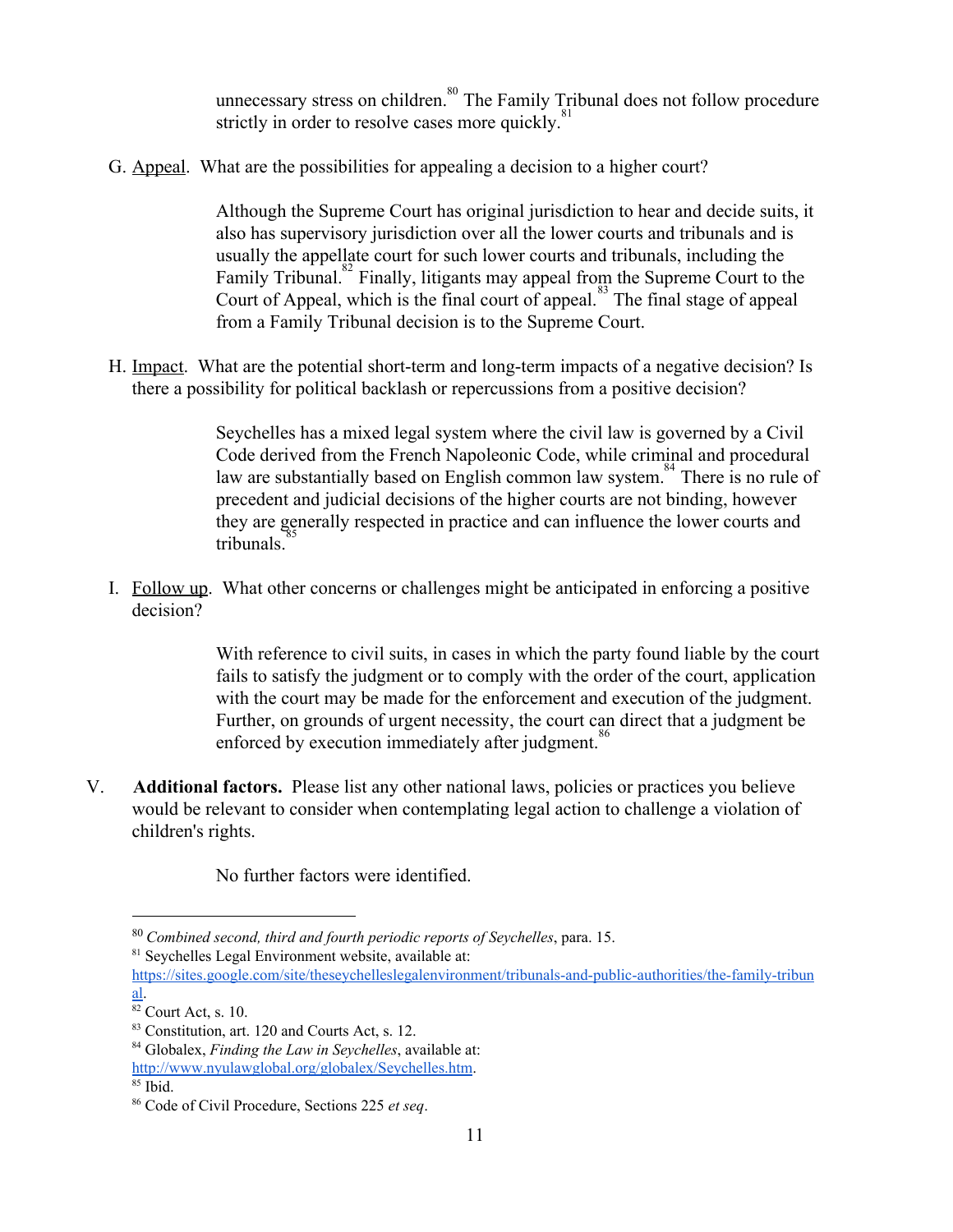unnecessary stress on children.<sup>80</sup> The Family Tribunal does not follow procedure strictly in order to resolve cases more quickly. $81$ 

G. Appeal. What are the possibilities for appealing a decision to a higher court?

Although the Supreme Court has original jurisdiction to hear and decide suits, it also has supervisory jurisdiction over all the lower courts and tribunals and is usually the appellate court for such lower courts and tribunals, including the Family Tribunal.<sup>82</sup> Finally, litigants may appeal from the Supreme Court to the Court of Appeal, which is the final court of appeal.<sup>83</sup> The final stage of appeal from a Family Tribunal decision is to the Supreme Court.

H. Impact. What are the potential short-term and long-term impacts of a negative decision? Is there a possibility for political backlash or repercussions from a positive decision?

> Seychelles has a mixed legal system where the civil law is governed by a Civil Code derived from the French Napoleonic Code, while criminal and procedural law are substantially based on English common law system.<sup>84</sup> There is no rule of precedent and judicial decisions of the higher courts are not binding, however they are generally respected in practice and can influence the lower courts and tribunals. 85

I. Follow up. What other concerns or challenges might be anticipated in enforcing a positive decision?

> With reference to civil suits, in cases in which the party found liable by the court fails to satisfy the judgment or to comply with the order of the court, application with the court may be made for the enforcement and execution of the judgment. Further, on grounds of urgent necessity, the court can direct that a judgment be enforced by execution immediately after judgment.<sup>86</sup>

V. **Additional factors.**Please list any other national laws, policies or practices you believe would be relevant to consider when contemplating legal action to challenge a violation of children's rights.

No further factors were identified.

<sup>80</sup> *Combined second, third and fourth periodic reports of Seychelles*, para. 15.

<sup>81</sup> Seychelles Legal Environment website, available at:

https://sites.google.com/site/theseychelleslegalenvironment/tribunals-and-public-authorities/the-family-tribun [al.](https://sites.google.com/site/theseychelleslegalenvironment/tribunals-and-public-authorities/the-family-tribunal)

 $82$  Court Act, s. 10.

<sup>83</sup> Constitution, art. 120 and Courts Act, s. 12.

<sup>84</sup> Globalex, *Finding the Law in Seychelles*, available at: [http://www.nyulawglobal.org/globalex/Seychelles.htm.](http://www.nyulawglobal.org/globalex/Seychelles.htm)

<sup>85</sup> Ibid.

<sup>86</sup> Code of Civil Procedure, Sections 225 *et seq*.